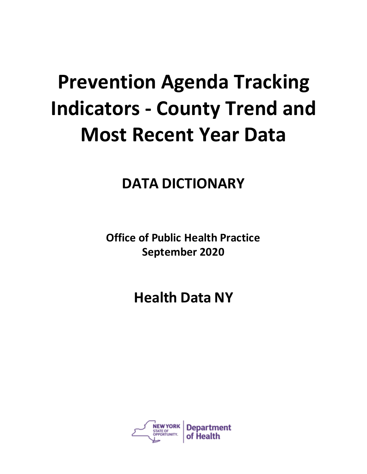## **Prevention Agenda Tracking Indicators - County Trend and Most Recent Year Data**

## **DATA DICTIONARY**

**Office of Public Health Practice September 2020**

**Health Data NY**

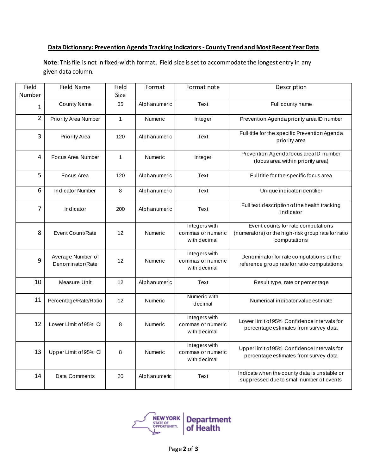## **Data Dictionary: Prevention Agenda Tracking Indicators -County Trend and Most Recent Year Data**

**Note**: This file is not in fixed-width format. Field size is set to accommodate the longest entry in any given data column.

| Field          | <b>Field Name</b>                     | Field        | Format         | Format note                                        | Description                                                                                              |
|----------------|---------------------------------------|--------------|----------------|----------------------------------------------------|----------------------------------------------------------------------------------------------------------|
| Number         |                                       | Size         |                |                                                    |                                                                                                          |
| 1              | <b>County Name</b>                    | 35           | Alphanumeric   | Text                                               | Full county name                                                                                         |
| $\overline{2}$ | Priority Area Number                  | $\mathbf{1}$ | Numeric        | Integer                                            | Prevention Agenda priority area ID number                                                                |
| 3              | <b>Priority Area</b>                  | 120          | Alphanumeric   | Text                                               | Full title for the specific Prevention Agenda<br>priority area                                           |
| $\overline{4}$ | Focus Area Number                     | $\mathbf 1$  | Numeric        | Integer                                            | Prevention Agenda focus area ID number<br>(focus area within priority area)                              |
| 5              | Focus Area                            | 120          | Alphanumeric   | Text                                               | Full title for the specific focus area                                                                   |
| 6              | <b>Indicator Number</b>               | 8            | Alphanumeric   | Text                                               | Unique indicatoridentifier                                                                               |
| $\overline{7}$ | Indicator                             | 200          | Alphanumeric   | Text                                               | Full text description of the health tracking<br>indicator                                                |
| 8              | Event Count/Rate                      | 12           | <b>Numeric</b> | Integers with<br>commas or numeric<br>with decimal | Event counts for rate computations<br>(numerators) or the high-risk group rate for ratio<br>computations |
| 9              | Average Number of<br>Denominator/Rate | 12           | <b>Numeric</b> | Integers with<br>commas or numeric<br>with decimal | Denominator for rate computations or the<br>reference group rate for ratio computations                  |
| 10             | Measure Unit                          | 12           | Alphanumeric   | Text                                               | Result type, rate or percentage                                                                          |
| 11             | Percentage/Rate/Ratio                 | 12           | Numeric        | Numeric with<br>decimal                            | Numerical indicator value estimate                                                                       |
| 12             | Lower Limit of 95% CI                 | 8            | Numeric        | Integers with<br>commas or numeric<br>with decimal | Lower limit of 95% Confidence Intervals for<br>percentage estimates from survey data                     |
| 13             | Upper Limit of 95% CI                 | 8            | Numeric        | Integers with<br>commas or numeric<br>with decimal | Upper limit of 95% Confidence Intervals for<br>percentage estimates from survey data                     |
| 14             | Data Comments                         | 20           | Alphanumeric   | Text                                               | Indicate when the county data is unstable or<br>suppressed due to small number of events                 |